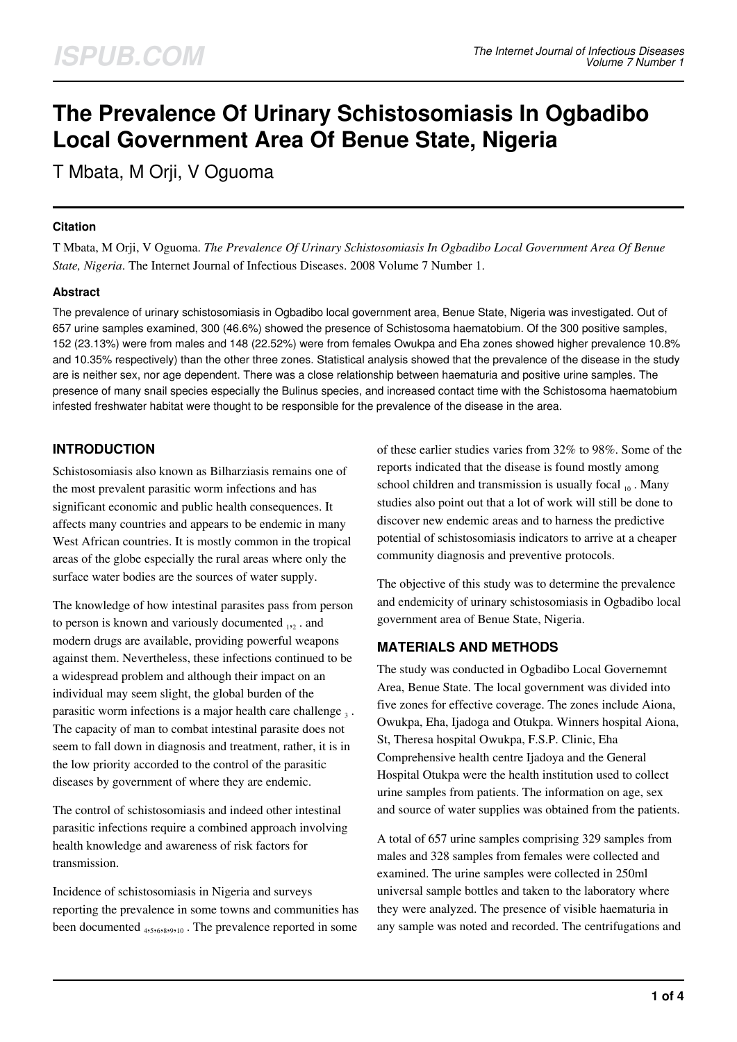# **The Prevalence Of Urinary Schistosomiasis In Ogbadibo Local Government Area Of Benue State, Nigeria**

T Mbata, M Orji, V Oguoma

## **Citation**

T Mbata, M Orji, V Oguoma. *The Prevalence Of Urinary Schistosomiasis In Ogbadibo Local Government Area Of Benue State, Nigeria*. The Internet Journal of Infectious Diseases. 2008 Volume 7 Number 1.

## **Abstract**

The prevalence of urinary schistosomiasis in Ogbadibo local government area, Benue State, Nigeria was investigated. Out of 657 urine samples examined, 300 (46.6%) showed the presence of Schistosoma haematobium. Of the 300 positive samples, 152 (23.13%) were from males and 148 (22.52%) were from females Owukpa and Eha zones showed higher prevalence 10.8% and 10.35% respectively) than the other three zones. Statistical analysis showed that the prevalence of the disease in the study are is neither sex, nor age dependent. There was a close relationship between haematuria and positive urine samples. The presence of many snail species especially the Bulinus species, and increased contact time with the Schistosoma haematobium infested freshwater habitat were thought to be responsible for the prevalence of the disease in the area.

# **INTRODUCTION**

Schistosomiasis also known as Bilharziasis remains one of the most prevalent parasitic worm infections and has significant economic and public health consequences. It affects many countries and appears to be endemic in many West African countries. It is mostly common in the tropical areas of the globe especially the rural areas where only the surface water bodies are the sources of water supply.

The knowledge of how intestinal parasites pass from person to person is known and variously documented  $_{12}$  . and modern drugs are available, providing powerful weapons against them. Nevertheless, these infections continued to be a widespread problem and although their impact on an individual may seem slight, the global burden of the parasitic worm infections is a major health care challenge  $_3$ . The capacity of man to combat intestinal parasite does not seem to fall down in diagnosis and treatment, rather, it is in the low priority accorded to the control of the parasitic diseases by government of where they are endemic.

The control of schistosomiasis and indeed other intestinal parasitic infections require a combined approach involving health knowledge and awareness of risk factors for transmission.

Incidence of schistosomiasis in Nigeria and surveys reporting the prevalence in some towns and communities has been documented <sub>4,5,6,8,9,10</sub>. The prevalence reported in some

of these earlier studies varies from 32% to 98%. Some of the reports indicated that the disease is found mostly among school children and transmission is usually focal  $_{10}$ . Many studies also point out that a lot of work will still be done to discover new endemic areas and to harness the predictive potential of schistosomiasis indicators to arrive at a cheaper community diagnosis and preventive protocols.

The objective of this study was to determine the prevalence and endemicity of urinary schistosomiasis in Ogbadibo local government area of Benue State, Nigeria.

## **MATERIALS AND METHODS**

The study was conducted in Ogbadibo Local Governemnt Area, Benue State. The local government was divided into five zones for effective coverage. The zones include Aiona, Owukpa, Eha, Ijadoga and Otukpa. Winners hospital Aiona, St, Theresa hospital Owukpa, F.S.P. Clinic, Eha Comprehensive health centre Ijadoya and the General Hospital Otukpa were the health institution used to collect urine samples from patients. The information on age, sex and source of water supplies was obtained from the patients.

A total of 657 urine samples comprising 329 samples from males and 328 samples from females were collected and examined. The urine samples were collected in 250ml universal sample bottles and taken to the laboratory where they were analyzed. The presence of visible haematuria in any sample was noted and recorded. The centrifugations and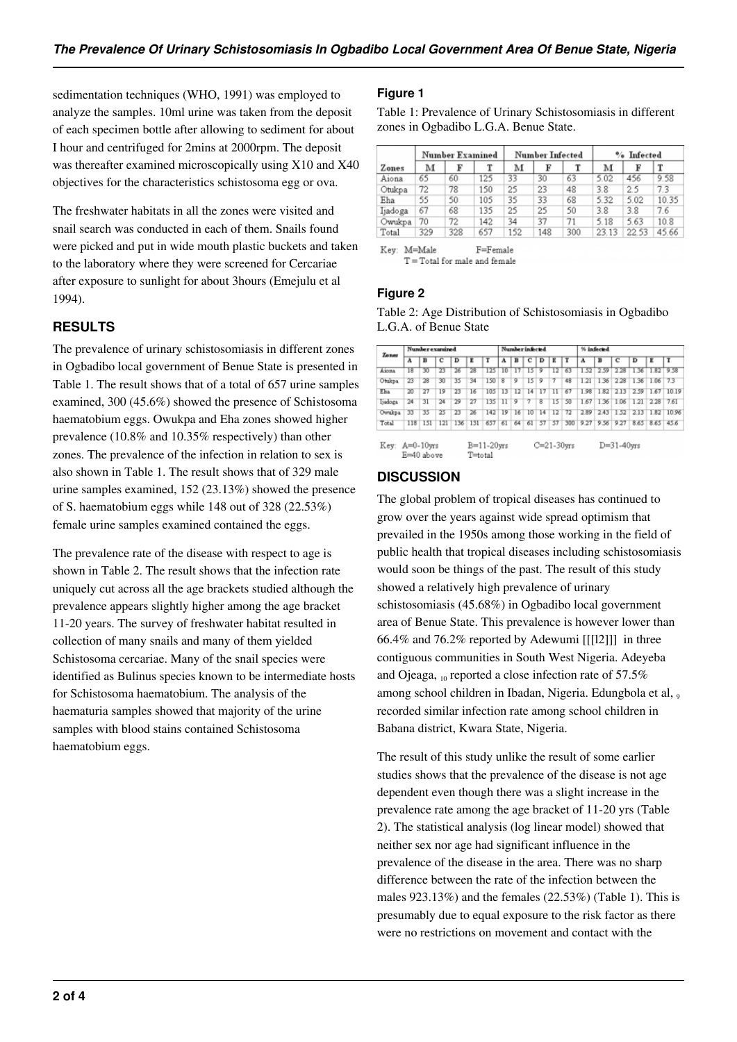sedimentation techniques (WHO, 1991) was employed to analyze the samples. 10ml urine was taken from the deposit of each specimen bottle after allowing to sediment for about I hour and centrifuged for 2mins at 2000rpm. The deposit was thereafter examined microscopically using X10 and X40 objectives for the characteristics schistosoma egg or ova.

The freshwater habitats in all the zones were visited and snail search was conducted in each of them. Snails found were picked and put in wide mouth plastic buckets and taken to the laboratory where they were screened for Cercariae after exposure to sunlight for about 3hours (Emejulu et al 1994).

# **RESULTS**

The prevalence of urinary schistosomiasis in different zones in Ogbadibo local government of Benue State is presented in Table 1. The result shows that of a total of 657 urine samples examined, 300 (45.6%) showed the presence of Schistosoma haematobium eggs. Owukpa and Eha zones showed higher prevalence (10.8% and 10.35% respectively) than other zones. The prevalence of the infection in relation to sex is also shown in Table 1. The result shows that of 329 male urine samples examined, 152 (23.13%) showed the presence of S. haematobium eggs while 148 out of 328 (22.53%) female urine samples examined contained the eggs.

The prevalence rate of the disease with respect to age is shown in Table 2. The result shows that the infection rate uniquely cut across all the age brackets studied although the prevalence appears slightly higher among the age bracket 11-20 years. The survey of freshwater habitat resulted in collection of many snails and many of them yielded Schistosoma cercariae. Many of the snail species were identified as Bulinus species known to be intermediate hosts for Schistosoma haematobium. The analysis of the haematuria samples showed that majority of the urine samples with blood stains contained Schistosoma haematobium eggs.

## **Figure 1**

Table 1: Prevalence of Urinary Schistosomiasis in different zones in Ogbadibo L.G.A. Benue State.

|         |     | <b>Number Examined</b> |     |     | <b>Number Infected</b> |     | % Infected |       |       |  |  |
|---------|-----|------------------------|-----|-----|------------------------|-----|------------|-------|-------|--|--|
| Zones   | м   | F                      |     | м   |                        |     | м          | F     |       |  |  |
| Aiona   | 65  | 60                     | 125 | 33  | 30                     | 63  | 5.02       | 456   | 9.58  |  |  |
| Otukpa  | 72  | 78                     | 150 | 25  | 23                     | 48  | 3.8        | 2.5   | 7.3   |  |  |
| Eha     | 55  | 50                     | 105 | 35  | 33                     | 68  | 5.32       | 5.02  | 10.35 |  |  |
| Ijadoga | 67  | 68                     | 135 | 25  | 25                     | 50  | 3.8        | 3.8   | 7.6   |  |  |
| Owukpa  | 70  | 72                     | 142 | 34  | 37                     | 71  | 5.18       | 5.63  | 10.8  |  |  |
| Total   | 329 | 328                    | 657 | 152 | 148                    | 300 | 23.13      | 22.53 | 45.66 |  |  |

Key: M=Male F=Female  $T = Total$  for male and female

## **Figure 2**

Table 2: Age Distribution of Schistosomiasis in Ogbadibo L.G.A. of Benue State

| Zonez   | Number examined |     |     |     |     |     | Number infected         |    |    |    |        |     | % infected |           |                |      |                |       |  |
|---------|-----------------|-----|-----|-----|-----|-----|-------------------------|----|----|----|--------|-----|------------|-----------|----------------|------|----------------|-------|--|
|         | A               | в   | с   | D   | E   | т   | A                       | в  | c  | D  | E      | т   | A          | в         | с              | D    | Е              | ΙT    |  |
| Aiona   | 18              | 30  | 23  | 26  | 28  | 125 | 10                      | 17 |    | 9  | 12     | 63  | 1.52       | 2.59      | 2.28           | 1.36 | 1.82 9.58      |       |  |
| Otukpa  | 23              | 28  | 30  | 35  | 34  | 150 | $\overline{\mathbf{8}}$ | 9  | 15 | 9  | 7      | 48  |            | 1.21 1.36 | 2.28           | 1.36 | $1.06$ 7.3     |       |  |
| Elsa    | 20              | 27  | 19  | 23  | 16  | 105 | 13                      | 12 | 14 | 17 | 11     | 67  | 1.98       | 1.82      | 2.13           |      | 2.59 1.67      | 10.19 |  |
| Ijadoga | 24              | 31  | 24  | 29  | 27  | 135 | $_{11}$                 | 9  | 7  | 8  | $15-1$ | 50  |            |           | 1.67 1.36 1.06 |      | 1.21 2.28 7.61 |       |  |
| Owukpa  | 33              | 35  | 25  | 23  | 26  | 142 | 19                      | 16 | 10 | 14 | 12     | 72  | 2.89       | 2.43      | 1.52           | 2.13 | 1.82           | 10.96 |  |
| Total   | 118             | 151 | 121 | 136 | 131 | 657 | 61                      | 64 | 61 | 57 | 57     | 300 | 9.27       | 9.56      | 9.27           |      | 8.65 8.65      | 456   |  |

# **DISCUSSION**

The global problem of tropical diseases has continued to grow over the years against wide spread optimism that prevailed in the 1950s among those working in the field of public health that tropical diseases including schistosomiasis would soon be things of the past. The result of this study showed a relatively high prevalence of urinary schistosomiasis (45.68%) in Ogbadibo local government area of Benue State. This prevalence is however lower than 66.4% and 76.2% reported by Adewumi [[[l2]]] in three contiguous communities in South West Nigeria. Adeyeba and Ojeaga,  $_{10}$  reported a close infection rate of 57.5% among school children in Ibadan, Nigeria. Edungbola et al, 0 recorded similar infection rate among school children in Babana district, Kwara State, Nigeria.

The result of this study unlike the result of some earlier studies shows that the prevalence of the disease is not age dependent even though there was a slight increase in the prevalence rate among the age bracket of 11-20 yrs (Table 2). The statistical analysis (log linear model) showed that neither sex nor age had significant influence in the prevalence of the disease in the area. There was no sharp difference between the rate of the infection between the males 923.13%) and the females (22.53%) (Table 1). This is presumably due to equal exposure to the risk factor as there were no restrictions on movement and contact with the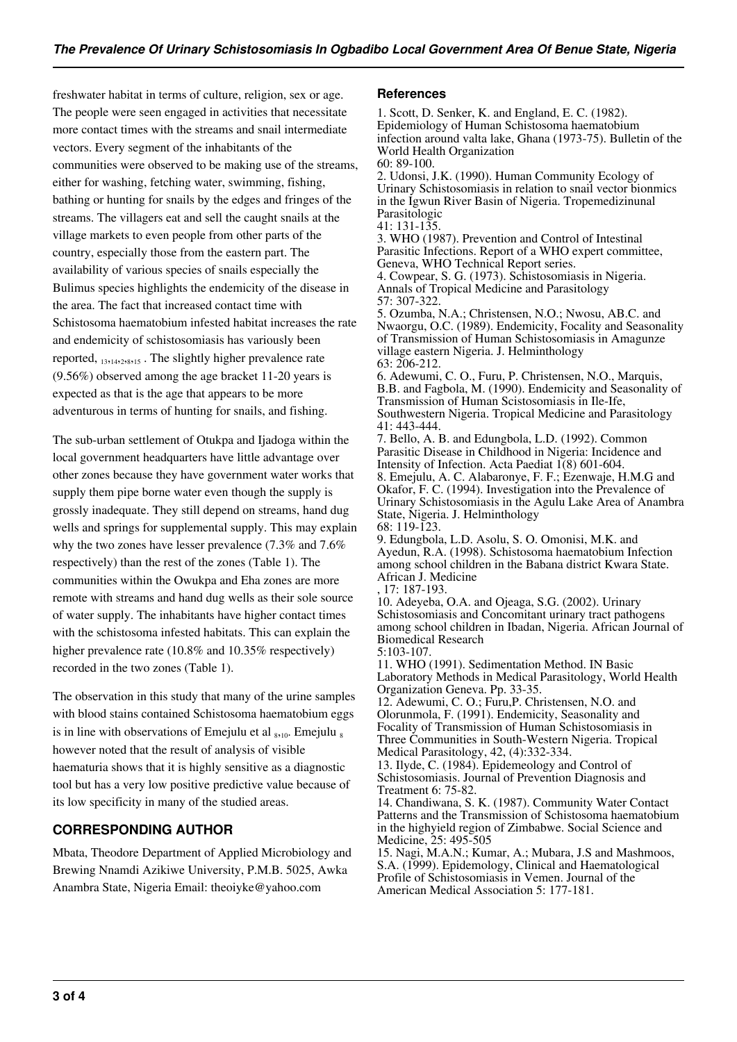freshwater habitat in terms of culture, religion, sex or age. The people were seen engaged in activities that necessitate more contact times with the streams and snail intermediate vectors. Every segment of the inhabitants of the communities were observed to be making use of the streams, either for washing, fetching water, swimming, fishing, bathing or hunting for snails by the edges and fringes of the streams. The villagers eat and sell the caught snails at the village markets to even people from other parts of the country, especially those from the eastern part. The availability of various species of snails especially the Bulimus species highlights the endemicity of the disease in the area. The fact that increased contact time with Schistosoma haematobium infested habitat increases the rate and endemicity of schistosomiasis has variously been reported, <sub>13,14,2,8,15</sub>. The slightly higher prevalence rate (9.56%) observed among the age bracket 11-20 years is expected as that is the age that appears to be more adventurous in terms of hunting for snails, and fishing.

The sub-urban settlement of Otukpa and Ijadoga within the local government headquarters have little advantage over other zones because they have government water works that supply them pipe borne water even though the supply is grossly inadequate. They still depend on streams, hand dug wells and springs for supplemental supply. This may explain why the two zones have lesser prevalence (7.3% and 7.6% respectively) than the rest of the zones (Table 1). The communities within the Owukpa and Eha zones are more remote with streams and hand dug wells as their sole source of water supply. The inhabitants have higher contact times with the schistosoma infested habitats. This can explain the higher prevalence rate (10.8% and 10.35% respectively) recorded in the two zones (Table 1).

The observation in this study that many of the urine samples with blood stains contained Schistosoma haematobium eggs is in line with observations of Emejulu et al  $_{8,10}$ . Emejulu  $_8$ however noted that the result of analysis of visible haematuria shows that it is highly sensitive as a diagnostic tool but has a very low positive predictive value because of its low specificity in many of the studied areas.

# **CORRESPONDING AUTHOR**

Mbata, Theodore Department of Applied Microbiology and Brewing Nnamdi Azikiwe University, P.M.B. 5025, Awka Anambra State, Nigeria Email: theoiyke@yahoo.com

#### **References**

1. Scott, D. Senker, K. and England, E. C. (1982). Epidemiology of Human Schistosoma haematobium infection around valta lake, Ghana (1973-75). Bulletin of the World Health Organization 60: 89-100.

2. Udonsi, J.K. (1990). Human Community Ecology of Urinary Schistosomiasis in relation to snail vector bionmics in the Igwun River Basin of Nigeria. Tropemedizinunal Parasitologic

41: 131-135.

3. WHO (1987). Prevention and Control of Intestinal Parasitic Infections. Report of a WHO expert committee, Geneva, WHO Technical Report series. 4. Cowpear, S. G. (1973). Schistosomiasis in Nigeria.

Annals of Tropical Medicine and Parasitology 57: 307-322.

5. Ozumba, N.A.; Christensen, N.O.; Nwosu, AB.C. and Nwaorgu, O.C. (1989). Endemicity, Focality and Seasonality of Transmission of Human Schistosomiasis in Amagunze village eastern Nigeria. J. Helminthology 63: 206-212.

6. Adewumi, C. O., Furu, P. Christensen, N.O., Marquis, B.B. and Fagbola, M. (1990). Endemicity and Seasonality of Transmission of Human Scistosomiasis in Ile-Ife, Southwestern Nigeria. Tropical Medicine and Parasitology 41: 443-444.

7. Bello, A. B. and Edungbola, L.D. (1992). Common Parasitic Disease in Childhood in Nigeria: Incidence and Intensity of Infection. Acta Paediat 1(8) 601-604. 8. Emejulu, A. C. Alabaronye, F. F.; Ezenwaje, H.M.G and Okafor, F. C. (1994). Investigation into the Prevalence of Urinary Schistosomiasis in the Agulu Lake Area of Anambra State, Nigeria. J. Helminthology 68: 119-123.

9. Edungbola, L.D. Asolu, S. O. Omonisi, M.K. and Ayedun, R.A. (1998). Schistosoma haematobium Infection among school children in the Babana district Kwara State. African J. Medicine

, 17: 187-193.

10. Adeyeba, O.A. and Ojeaga, S.G. (2002). Urinary Schistosomiasis and Concomitant urinary tract pathogens among school children in Ibadan, Nigeria. African Journal of Biomedical Research

5:103-107.

11. WHO (1991). Sedimentation Method. IN Basic Laboratory Methods in Medical Parasitology, World Health Organization Geneva. Pp. 33-35.

12. Adewumi, C. O.; Furu,P. Christensen, N.O. and Olorunmola, F. (1991). Endemicity, Seasonality and Focality of Transmission of Human Schistosomiasis in Three Communities in South-Western Nigeria. Tropical Medical Parasitology, 42, (4):332-334.

13. Ilyde, C. (1984). Epidemeology and Control of Schistosomiasis. Journal of Prevention Diagnosis and Treatment 6: 75-82.

14. Chandiwana, S. K. (1987). Community Water Contact Patterns and the Transmission of Schistosoma haematobium in the highyield region of Zimbabwe. Social Science and Medicine, 25: 495-505

15. Nagi, M.A.N.; Kumar, A.; Mubara, J.S and Mashmoos, S.A. (1999). Epidemology, Clinical and Haematological Profile of Schistosomiasis in Vemen. Journal of the American Medical Association 5: 177-181.